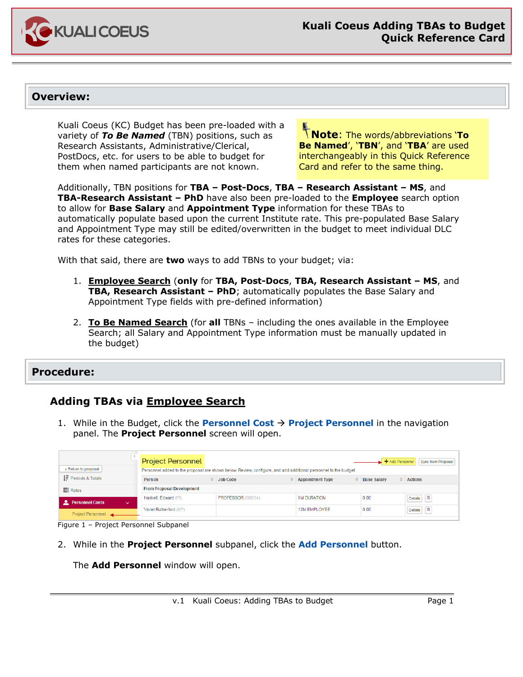

### **Overview:**

Kuali Coeus (KC) Budget has been pre-loaded with a variety of *To Be Named* (TBN) positions, such as Research Assistants, Administrative/Clerical, PostDocs, etc. for users to be able to budget for them when named participants are not known.

**Note**: The words/abbreviations '**To Be Named**', '**TBN**', and '**TBA**' are used interchangeably in this Quick Reference Card and refer to the same thing.

Additionally, TBN positions for **TBA – Post-Docs**, **TBA – Research Assistant – MS**, and **TBA-Research Assistant – PhD** have also been pre-loaded to the **Employee** search option to allow for **Base Salary** and **Appointment Type** information for these TBAs to automatically populate based upon the current Institute rate. This pre-populated Base Salary and Appointment Type may still be edited/overwritten in the budget to meet individual DLC rates for these categories.

With that said, there are **two** ways to add TBNs to your budget; via:

- 1. **Employee Search** (**only** for **TBA, Post-Docs**, **TBA, Research Assistant – MS**, and **TBA, Research Assistant – PhD**; automatically populates the Base Salary and Appointment Type fields with pre-defined information)
- 2. **To Be Named Search** (for **all** TBNs including the ones available in the Employee Search; all Salary and Appointment Type information must be manually updated in the budget)

### **Procedure:**

## **Adding TBAs via Employee Search**

1. While in the Budget, click the **Personnel Cost** à **Project Personnel** in the navigation panel. The **Project Personnel** screen will open.

|                                                    | <b>Project Personnel</b>                                                                                        |                     |                                           | + Add Personnel    | Sync from Proposal        |  |
|----------------------------------------------------|-----------------------------------------------------------------------------------------------------------------|---------------------|-------------------------------------------|--------------------|---------------------------|--|
| « Return to proposal                               | Personnel added to the proposal are shown below. Review, configure, and add additional personnel to the budget. |                     |                                           |                    |                           |  |
| $\downarrow$ Periods & Totals                      | Person                                                                                                          | $\Diamond$ Job Code | <b>Appointment Type</b><br>$\ddot{\circ}$ | <b>Base Salary</b> | $\Leftrightarrow$ Actions |  |
| <b>From Proposal Development</b><br><b>言</b> Rates |                                                                                                                 |                     |                                           |                    |                           |  |
| <b>Personnel Costs</b><br>$\checkmark$             | Haskell, Edward (PI)                                                                                            | PROFESSOR (BB004)   | 9M DURATION                               | 0.00               | 自<br>Details              |  |
| <b>Project Personnel</b>                           | Violet Rutherford (KP)                                                                                          |                     | 12M EMPLOYEE                              | 0.00               | 宜<br><b>Details</b>       |  |

Figure 1 – Project Personnel Subpanel

2. While in the **Project Personnel** subpanel, click the **Add Personnel** button.

The **Add Personnel** window will open.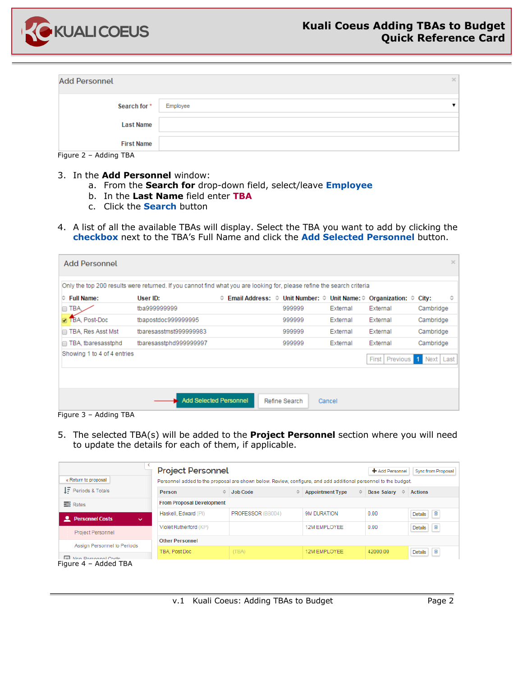

| <b>Add Personnel</b>                   | $\times$ |
|----------------------------------------|----------|
| Search for * Employee                  |          |
| <b>Last Name</b>                       |          |
| <b>First Name</b><br>Time 2 Addina TDA |          |

Figure 2 – Adding TBA

- 3. In the **Add Personnel** window:
	- a. From the **Search for** drop-down field, select/leave **Employee**
	- b. In the **Last Name** field enter **TBA**
	- c. Click the **Search** button
- 4. A list of all the available TBAs will display. Select the TBA you want to add by clicking the **checkbox** next to the TBA's Full Name and click the **Add Selected Personnel** button.

| Add Personnel               |                                                                                                                        |                                                                                                                                                 |               |          |                                 | $\boldsymbol{\times}$       |
|-----------------------------|------------------------------------------------------------------------------------------------------------------------|-------------------------------------------------------------------------------------------------------------------------------------------------|---------------|----------|---------------------------------|-----------------------------|
|                             | Only the top 200 results were returned. If you cannot find what you are looking for, please refine the search criteria |                                                                                                                                                 |               |          |                                 |                             |
| <b>Full Name:</b><br>C.     | User ID:                                                                                                               | $\hat{\diamond}$ Email Address: $\hat{\diamond}$ Unit Number: $\hat{\diamond}$ Unit Name: $\hat{\diamond}$ Organization: $\hat{\diamond}$ City: |               |          |                                 | ≎                           |
| TBA.<br>□                   | tba999999999                                                                                                           |                                                                                                                                                 | 999999        | External | External                        | Cambridge                   |
| TBA, Post-Doc               | tbapostdoc999999995                                                                                                    |                                                                                                                                                 | 999999        | External | External                        | Cambridge                   |
| TBA. Res Asst Mst           | tbaresasstmst999999983                                                                                                 |                                                                                                                                                 | 999999        | External | External                        | Cambridge                   |
| TBA, tbaresasstphd          | tbaresasstphd999999997                                                                                                 |                                                                                                                                                 | 999999        | External | External                        | Cambridge                   |
| Showing 1 to 4 of 4 entries |                                                                                                                        |                                                                                                                                                 |               |          | <b>Previous</b><br><b>First</b> | 1 <sup>1</sup><br>Next Last |
|                             |                                                                                                                        |                                                                                                                                                 |               |          |                                 |                             |
|                             |                                                                                                                        | <b>Add Selected Personnel</b>                                                                                                                   | Refine Search | Cancel   |                                 |                             |

Figure 3 – Adding TBA

5. The selected TBA(s) will be added to the **Project Personnel** section where you will need to update the details for each of them, if applicable.

| « Return to proposal                          | <b>Project Personnel</b><br>$+$ Add Personnel<br>Sync from Proposal<br>Personnel added to the proposal are shown below. Review, configure, and add additional personnel to the budget. |                     |                                         |                                 |                            |  |  |
|-----------------------------------------------|----------------------------------------------------------------------------------------------------------------------------------------------------------------------------------------|---------------------|-----------------------------------------|---------------------------------|----------------------------|--|--|
| $IF$ Periods & Totals                         | Person                                                                                                                                                                                 | $\Diamond$ Job Code | $\Leftrightarrow$ Appointment Type<br>≎ | <b>Base Salary</b><br>$\hat{v}$ | <b>Actions</b>             |  |  |
| $\equiv$ Rates                                | <b>From Proposal Development</b>                                                                                                                                                       |                     |                                         |                                 |                            |  |  |
| <b>L</b> Personnel Costs<br>$\checkmark$      | Haskell, Edward (PI)                                                                                                                                                                   | PROFESSOR (BB004)   | 9M DURATION                             | 0.00                            | <b>B</b><br><b>Details</b> |  |  |
| <b>Project Personnel</b>                      | Violet Rutherford (KP)                                                                                                                                                                 |                     | 12M EMPLOYEE                            | 0.00                            | 旧<br><b>Details</b>        |  |  |
| <b>Assign Personnel to Periods</b>            | <b>Other Personnel</b>                                                                                                                                                                 |                     |                                         |                                 |                            |  |  |
|                                               | TBA, Post Doc                                                                                                                                                                          | (TBA)               | 12M EMPLOYEE                            | 42000.00                        | B<br><b>Details</b>        |  |  |
| E Non-Personnel Costs<br>Figure 4 - Added TBA |                                                                                                                                                                                        |                     |                                         |                                 |                            |  |  |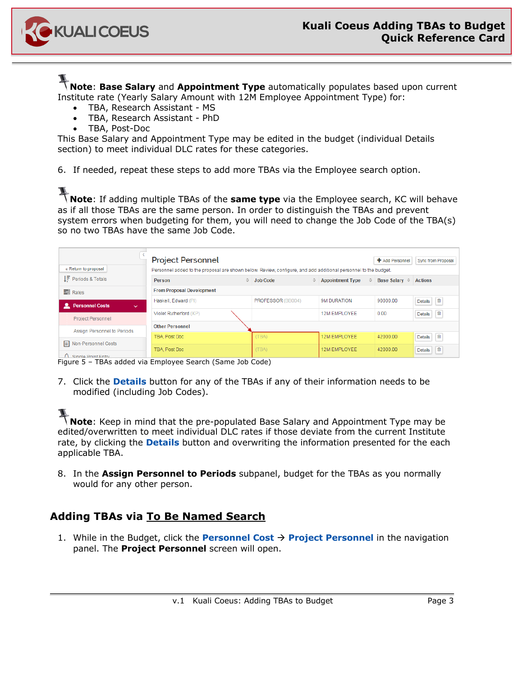

**Note: Base Salary** and **Appointment Type** automatically populates based upon current Institute rate (Yearly Salary Amount with 12M Employee Appointment Type) for:

- TBA, Research Assistant MS
- TBA, Research Assistant PhD
- TBA, Post-Doc

This Base Salary and Appointment Type may be edited in the budget (individual Details section) to meet individual DLC rates for these categories.

6. If needed, repeat these steps to add more TBAs via the Employee search option.

**Note:** If adding multiple TBAs of the **same type** via the Employee search, KC will behave as if all those TBAs are the same person. In order to distinguish the TBAs and prevent system errors when budgeting for them, you will need to change the Job Code of the TBA(s) so no two TBAs have the same Job Code.

| <b>Project Personnel</b><br>+ Add Personnel<br>Sync from Proposal<br>« Return to proposal<br>Personnel added to the proposal are shown below. Review, configure, and add additional personnel to the budget. |                                  |                      |                         |                                       |                     |  |  |
|--------------------------------------------------------------------------------------------------------------------------------------------------------------------------------------------------------------|----------------------------------|----------------------|-------------------------|---------------------------------------|---------------------|--|--|
| $IF$ Periods & Totals                                                                                                                                                                                        | $\hat{v}$<br>Person              | <b>Job Code</b><br>≎ | <b>Appointment Type</b> | Base Salary $\Leftrightarrow$ Actions |                     |  |  |
| <b>言</b> Rates                                                                                                                                                                                               | <b>From Proposal Development</b> |                      |                         |                                       |                     |  |  |
| <b>Personnel Costs</b><br>≗<br>$\checkmark$                                                                                                                                                                  | Haskell, Edward (PI)             | PROFESSOR (BB004)    | 9M DURATION             | 90000.00                              | 面<br><b>Details</b> |  |  |
| <b>Project Personnel</b>                                                                                                                                                                                     | Violet Rutherford (KP)           |                      | 12M EMPLOYEE            | 0.00                                  | 面<br>Details        |  |  |
| Assign Personnel to Periods                                                                                                                                                                                  | <b>Other Personnel</b>           |                      |                         |                                       |                     |  |  |
|                                                                                                                                                                                                              | TBA, Post Doc                    | (TBA)                | 12M EMPLOYEE            | 42000.00                              | 自<br><b>Details</b> |  |  |
| <b>E</b> Non-Personnel Costs<br>Single Point Entry                                                                                                                                                           | TBA, Post Doc                    | (TBA)                | 12M EMPLOYEE            | 42000.00                              | 面<br><b>Details</b> |  |  |

Figure 5 – TBAs added via Employee Search (Same Job Code)

7. Click the **Details** button for any of the TBAs if any of their information needs to be modified (including Job Codes).

**Note**: Keep in mind that the pre-populated Base Salary and Appointment Type may be edited/overwritten to meet individual DLC rates if those deviate from the current Institute rate, by clicking the **Details** button and overwriting the information presented for the each applicable TBA.

8. In the **Assign Personnel to Periods** subpanel, budget for the TBAs as you normally would for any other person.

# **Adding TBAs via To Be Named Search**

1. While in the Budget, click the **Personnel Cost**  $\rightarrow$  **Project Personnel** in the navigation panel. The **Project Personnel** screen will open.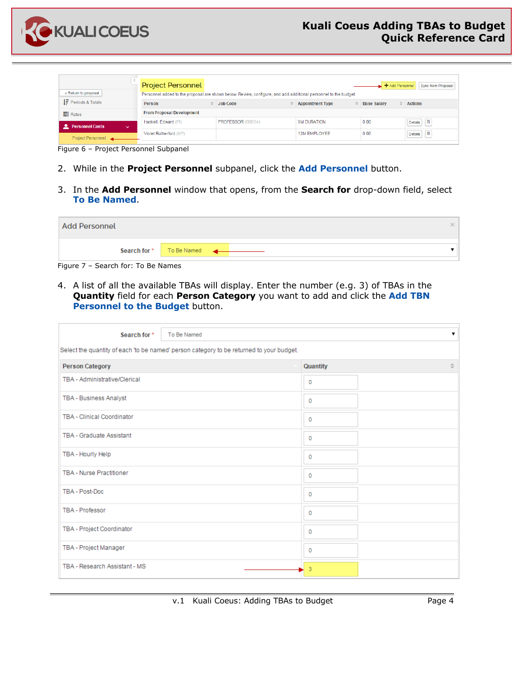

| « Return to proposal                     | <b>Project Personnel</b><br>Personnel added to the proposal are shown below. Review, configure, and add additional personnel to the budget. |                     |                         |         |                    | + Add Personnel<br>Sync from Proposal |
|------------------------------------------|---------------------------------------------------------------------------------------------------------------------------------------------|---------------------|-------------------------|---------|--------------------|---------------------------------------|
| $IF$ Periods & Totals<br><b>言</b> Rates  | Person<br><b>From Proposal Development</b>                                                                                                  | $\Diamond$ Job Code | <b>Appointment Type</b> | $\circ$ | <b>Base Salary</b> | $\Leftrightarrow$ Actions             |
| <b>L</b> Personnel Costs<br>$\checkmark$ | Haskell, Edward (PI)                                                                                                                        | PROFESSOR (BB004)   | 9M DURATION             |         | 0.00               | 自<br><b>Details</b>                   |
| Project Personnel                        | Violet Rutherford (KP)                                                                                                                      |                     | 12M EMPLOYEE            |         | 0.00               | 自<br><b>Details</b>                   |

Figure 6 – Project Personnel Subpanel

- 2. While in the **Project Personnel** subpanel, click the **Add Personnel** button.
- 3. In the **Add Personnel** window that opens, from the **Search for** drop-down field, select **To Be Named**.

| <b>Add Personnel</b> |                              | ×. |
|----------------------|------------------------------|----|
|                      | Search for *   To Be Named 4 |    |

Figure 7 – Search for: To Be Names

4. A list of all the available TBAs will display. Enter the number (e.g. 3) of TBAs in the **Quantity** field for each **Person Category** you want to add and click the **Add TBN Personnel to the Budget** button.

| To Be Named<br>Search for *                                                              | ▼             |  |  |  |  |  |  |
|------------------------------------------------------------------------------------------|---------------|--|--|--|--|--|--|
| Select the quantity of each 'to be named' person category to be returned to your budget. |               |  |  |  |  |  |  |
| <b>Person Category</b>                                                                   | Quantity<br>≎ |  |  |  |  |  |  |
| TBA - Administrative/Clerical                                                            | 0             |  |  |  |  |  |  |
| TBA - Business Analyst                                                                   | 0             |  |  |  |  |  |  |
| TBA - Clinical Coordinator                                                               | 0             |  |  |  |  |  |  |
| TBA - Graduate Assistant                                                                 | 0             |  |  |  |  |  |  |
| TBA - Hourly Help                                                                        | 0             |  |  |  |  |  |  |
| <b>TBA - Nurse Practitioner</b>                                                          | 0             |  |  |  |  |  |  |
| TBA - Post-Doc                                                                           | 0             |  |  |  |  |  |  |
| TBA - Professor                                                                          | 0             |  |  |  |  |  |  |
| TBA - Project Coordinator                                                                | 0             |  |  |  |  |  |  |
| TBA - Project Manager                                                                    | 0             |  |  |  |  |  |  |
| TBA - Research Assistant - MS                                                            | 3             |  |  |  |  |  |  |